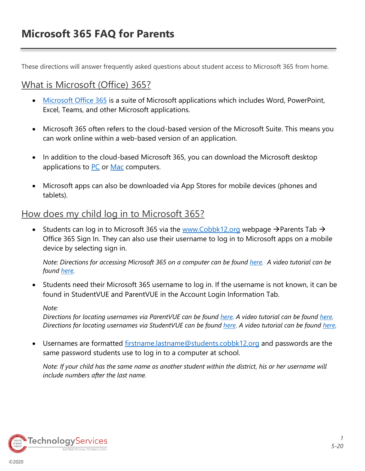These directions will answer frequently asked questions about student access to Microsoft 365 from home.

# What is Microsoft (Office) 365?

- [Microsoft Office 365](https://www.youtube.com/watch?v=4WIbqcmSB_E) is a suite of Microsoft applications which includes Word, PowerPoint, Excel, Teams, and other Microsoft applications.
- Microsoft 365 often refers to the cloud-based version of the Microsoft Suite. This means you can work online within a web-based version of an application.
- In addition to the cloud-based Microsoft 365, you can download the Microsoft desktop applications to [PC](https://support.office.com/en-us/article/download-and-install-or-reinstall-microsoft-365-or-office-2019-on-a-pc-or-mac-4414eaaf-0478-48be-9c42-23adc4716658#InstallSteps=Install_on_a_PC) or [Mac](https://support.office.com/en-us/article/download-and-install-or-reinstall-microsoft-365-or-office-2019-on-a-pc-or-mac-4414eaaf-0478-48be-9c42-23adc4716658#InstallSteps=Install_on_a_Mac) computers.
- Microsoft apps can also be downloaded via App Stores for mobile devices (phones and tablets).

# How does my child log in to Microsoft 365?

• Students can log in to Microsoft 365 via the [www.Cobbk12.org](http://www.cobbk12.org/) webpage  $\rightarrow$  Parents Tab  $\rightarrow$ Office 365 Sign In. They can also use their username to log in to Microsoft apps on a mobile device by selecting sign in.

*Note: Directions for accessing Microsoft 365 on a computer can be found [here.](http://www.cobbk12.org/centraloffice/InstructionalTechnology/CR/Office365/Office365HowStudentsSignin.pdf) A video tutorial can be found [here.](http://streamingcobb.cobbk12.org/Panopto/Pages/Viewer.aspx?id=67bb4173-4e30-4300-93ff-de50fd29aa90)*

• Students need their Microsoft 365 username to log in. If the username is not known, it can be found in StudentVUE and ParentVUE in the Account Login Information Tab.

*Note:* 

*Directions for locating usernames via ParentVUE can be found [here.](http://www.cobbk12.org/centraloffice/InstructionalTechnology/CR/Microsoft/O365ParentVUEStudentUserInfo.pdf) A video tutorial can be found [here.](http://streamingcobb.cobbk12.org/Panopto/Pages/Viewer.aspx?id=13f79dc7-0d83-4f70-8eb1-f088c72f15f5)  Directions for locating usernames via StudentVUE can be found [here.](http://www.cobbk12.org/centraloffice/InstructionalTechnology/CR/Office2016/O365-StudentVueUserLoginInfoV2.pdf) A video tutorial can be found [here.](https://streamingcobb.cobbk12.org/Panopto/Pages/Viewer.aspx?id=2afc188d-34c7-48ba-aeaa-d0bbb94175f5)*

• Usernames are formatted [firstname.lastname@students.cobbk12.org](mailto:firstname.lastname@students.cobbk12.org) and passwords are the same password students use to log in to a computer at school.

*Note: If your child has the same name as another student within the district, his or her username will include numbers after the last name.*

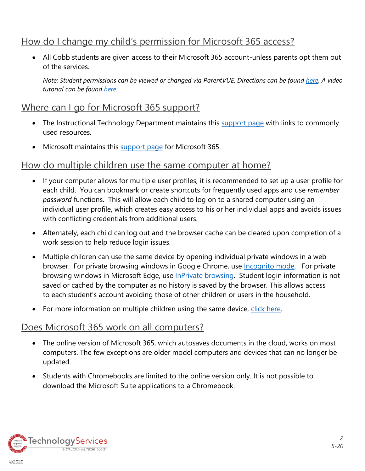## How do I change my child's permission for Microsoft 365 access?

• All Cobb students are given access to their Microsoft 365 account-unless parents opt them out of the services.

*Note: Student permissions can be viewed or changed via ParentVUE. Directions can be found [here.](http://www.cobbk12.org/centraloffice/InstructionalTechnology/CR/Office2016/O365-ParentVUEOptIn.pdf) A video tutorial can be found [here.](https://streamingcobb.cobbk12.org/Panopto/Pages/Viewer.aspx?id=67bb4173-4e30-4300-93ff-de50fd29aa90)*

#### Where can I go for Microsoft 365 support?

- The Instructional Technology Department maintains this [support page](http://www.cobbk12.org/centraloffice/InstructionalTechnology/CR/Microsoft/Microsoft.aspx) with links to commonly used resources.
- Microsoft maintains this [support page](https://support.microsoft.com/en-us/microsoft-365) for Microsoft 365.

#### How do multiple children use the same computer at home?

- If your computer allows for multiple user profiles, it is recommended to set up a user profile for each child. You can bookmark or create shortcuts for frequently used apps and use *remember password* functions. This will allow each child to log on to a shared computer using an individual user profile, which creates easy access to his or her individual apps and avoids issues with conflicting credentials from additional users.
- Alternately, each child can log out and the browser cache can be cleared upon completion of a work session to help reduce login issues.
- Multiple children can use the same device by opening individual private windows in a web browser. For private browsing windows in Google Chrome, use [Incognito mode.](https://support.google.com/chrome/answer/95464?co=GENIE.Platform%3DDesktop&hl=en) For private browsing windows in Microsoft Edge, use **InPrivate browsing.** Student login information is not saved or cached by the computer as no history is saved by the browser. This allows access to each student's account avoiding those of other children or users in the household.
- For more information on multiple children using the same device, [click here.](http://www.cobblearning.net/ccsdintech/2020/04/15/tips-for-sharing-a-computer/)

#### Does Microsoft 365 work on all computers?

- The online version of Microsoft 365, which autosaves documents in the cloud, works on most computers. The few exceptions are older model computers and devices that can no longer be updated.
- Students with Chromebooks are limited to the online version only. It is not possible to download the Microsoft Suite applications to a Chromebook.

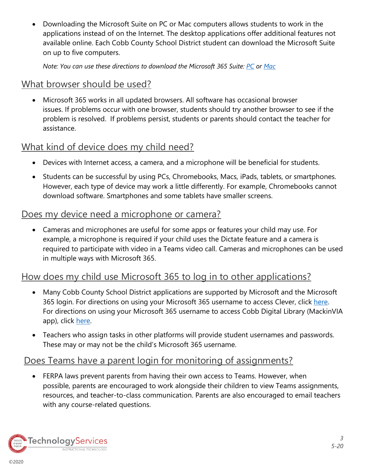• Downloading the Microsoft Suite on PC or Mac computers allows students to work in the applications instead of on the Internet. The desktop applications offer additional features not available online. Each Cobb County School District student can download the Microsoft Suite on up to five computers.

*Note: You can use these directions to download the Microsoft 365 Suite: [PC](https://support.office.com/en-us/article/download-and-install-or-reinstall-microsoft-365-or-office-2019-on-a-pc-or-mac-4414eaaf-0478-48be-9c42-23adc4716658#InstallSteps=Install_on_a_PC) or [Mac](https://support.office.com/en-us/article/download-and-install-or-reinstall-microsoft-365-or-office-2019-on-a-pc-or-mac-4414eaaf-0478-48be-9c42-23adc4716658#InstallSteps=Install_on_a_Mac)*

#### What browser should be used?

• Microsoft 365 works in all updated browsers. All software has occasional browser issues. If problems occur with one browser, students should try another browser to see if the problem is resolved. If problems persist, students or parents should contact the teacher for assistance.

### What kind of device does my child need?

- Devices with Internet access, a camera, and a microphone will be beneficial for students.
- Students can be successful by using PCs, Chromebooks, Macs, iPads, tablets, or smartphones. However, each type of device may work a little differently. For example, Chromebooks cannot download software. Smartphones and some tablets have smaller screens.

### Does my device need a microphone or camera?

• Cameras and microphones are useful for some apps or features your child may use. For example, a microphone is required if your child uses the Dictate feature and a camera is required to participate with video in a Teams video call. Cameras and microphones can be used in multiple ways with Microsoft 365.

## How does my child use Microsoft 365 to log in to other applications?

- Many Cobb County School District applications are supported by Microsoft and the Microsoft 365 login. For directions on using your Microsoft 365 username to access Clever, click [here.](http://www.cobbk12.org/centraloffice/InstructionalTechnology/IL/BYOD/LEARNINGRESOURCES-CleverHomeAccess-FINAL.pdf) For directions on using your Microsoft 365 username to access Cobb Digital Library (MackinVIA app), click [here.](http://www.cobbk12.org/cdl.aspx)
- Teachers who assign tasks in other platforms will provide student usernames and passwords. These may or may not be the child's Microsoft 365 username.

### Does Teams have a parent login for monitoring of assignments?

• FERPA laws prevent parents from having their own access to Teams. However, when possible, parents are encouraged to work alongside their children to view Teams assignments, resources, and teacher-to-class communication. Parents are also encouraged to email teachers with any course-related questions.